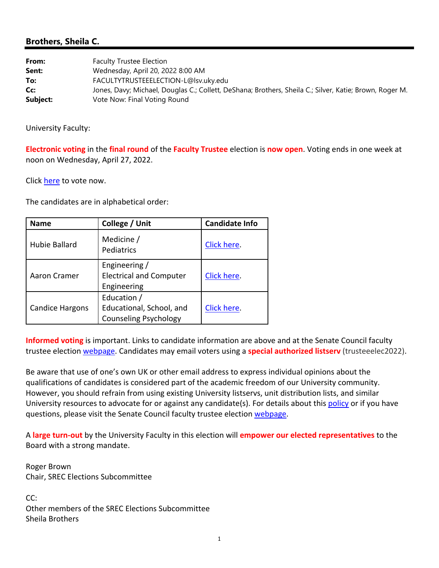## **Brothers, Sheila C.**

| From:    | <b>Faculty Trustee Election</b>                                                                         |
|----------|---------------------------------------------------------------------------------------------------------|
| Sent:    | Wednesday, April 20, 2022 8:00 AM                                                                       |
| To:      | FACULTYTRUSTEEELECTION-L@lsv.uky.edu                                                                    |
| Cc:      | Jones, Davy; Michael, Douglas C.; Collett, DeShana; Brothers, Sheila C.; Silver, Katie; Brown, Roger M. |
| Subject: | Vote Now: Final Voting Round                                                                            |

University Faculty:

**Electronic voting** in the **final round** of the **Faculty Trustee** election is **now open**. Voting ends in one week at noon on Wednesday, April 27, 2022.

Click here to vote now.

The candidates are in alphabetical order:

| <b>Name</b>            | College / Unit                                                          | <b>Candidate Info</b> |
|------------------------|-------------------------------------------------------------------------|-----------------------|
| Hubie Ballard          | Medicine /<br>Pediatrics                                                | Click here.           |
| Aaron Cramer           | Engineering /<br><b>Electrical and Computer</b><br>Engineering          | Click here.           |
| <b>Candice Hargons</b> | Education /<br>Educational, School, and<br><b>Counseling Psychology</b> | Click here.           |

**Informed voting** is important. Links to candidate information are above and at the Senate Council faculty trustee election webpage. Candidates may email voters using a **special authorized listserv** (trusteeelec2022).

Be aware that use of one's own UK or other email address to express individual opinions about the qualifications of candidates is considered part of the academic freedom of our University community. However, you should refrain from using existing University listservs, unit distribution lists, and similar University resources to advocate for or against any candidate(s). For details about this policy or if you have questions, please visit the Senate Council faculty trustee election webpage.

A **large turn‐out** by the University Faculty in this election will **empower our elected representatives** to the Board with a strong mandate.

Roger Brown Chair, SREC Elections Subcommittee

CC: Other members of the SREC Elections Subcommittee Sheila Brothers